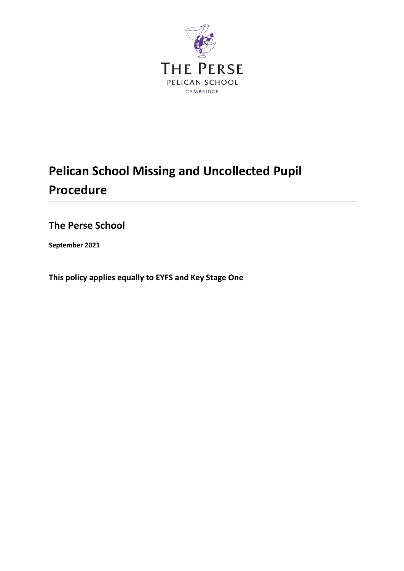

# **Pelican School Missing and Uncollected Pupil Procedure**

**The Perse School**

**September 2021**

**This policy applies equally to EYFS and Key Stage One**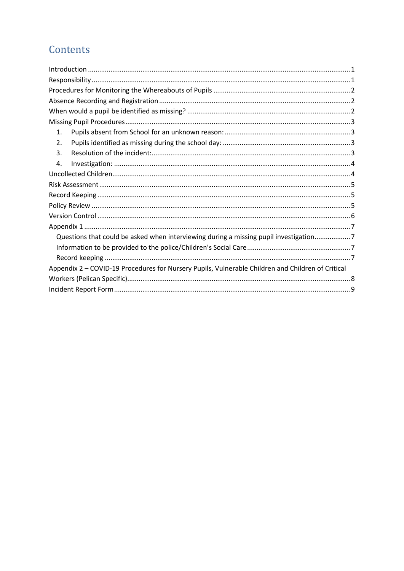## Contents

| 1.                                                                                                |  |
|---------------------------------------------------------------------------------------------------|--|
| 2.                                                                                                |  |
| 3.                                                                                                |  |
| 4.                                                                                                |  |
|                                                                                                   |  |
|                                                                                                   |  |
|                                                                                                   |  |
|                                                                                                   |  |
|                                                                                                   |  |
|                                                                                                   |  |
| Questions that could be asked when interviewing during a missing pupil investigation7             |  |
|                                                                                                   |  |
|                                                                                                   |  |
| Appendix 2 - COVID-19 Procedures for Nursery Pupils, Vulnerable Children and Children of Critical |  |
|                                                                                                   |  |
|                                                                                                   |  |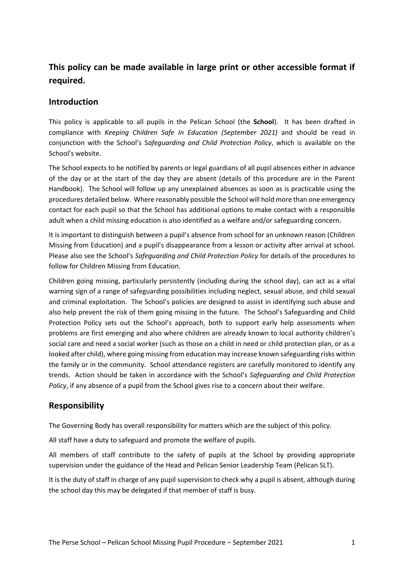## **This policy can be made available in large print or other accessible format if required.**

### <span id="page-2-0"></span>**Introduction**

This policy is applicable to all pupils in the Pelican School (the **School**). It has been drafted in compliance with *Keeping Children Safe In Education (September 2021)* and should be read in conjunction with the School's S*afeguarding and Child Protection Policy*, which is available on the School's website.

The School expects to be notified by parents or legal guardians of all pupil absences either in advance of the day or at the start of the day they are absent (details of this procedure are in the Parent Handbook). The School will follow up any unexplained absences as soon as is practicable using the procedures detailed below. Where reasonably possible the School will hold more than one emergency contact for each pupil so that the School has additional options to make contact with a responsible adult when a child missing education is also identified as a welfare and/or safeguarding concern.

It is important to distinguish between a pupil's absence from school for an unknown reason (Children Missing from Education) and a pupil's disappearance from a lesson or activity after arrival at school. Please also see the School's *Safeguarding and Child Protection Policy* for details of the procedures to follow for Children Missing from Education.

Children going missing, particularly persistently (including during the school day), can act as a vital warning sign of a range of safeguarding possibilities including neglect, sexual abuse, and child sexual and criminal exploitation. The School's policies are designed to assist in identifying such abuse and also help prevent the risk of them going missing in the future. The School's Safeguarding and Child Protection Policy sets out the School's approach, both to support early help assessments when problems are first emerging and also where children are already known to local authority children's social care and need a social worker (such as those on a child in need or child protection plan, or as a looked after child), where going missing from education may increase known safeguarding risks within the family or in the community. School attendance registers are carefully monitored to identify any trends. Action should be taken in accordance with the School's *Safeguarding and Child Protection Policy*, if any absence of a pupil from the School gives rise to a concern about their welfare.

## <span id="page-2-1"></span>**Responsibility**

The Governing Body has overall responsibility for matters which are the subject of this policy.

All staff have a duty to safeguard and promote the welfare of pupils.

All members of staff contribute to the safety of pupils at the School by providing appropriate supervision under the guidance of the Head and Pelican Senior Leadership Team (Pelican SLT).

It is the duty of staff in charge of any pupil supervision to check why a pupil is absent, although during the school day this may be delegated if that member of staff is busy.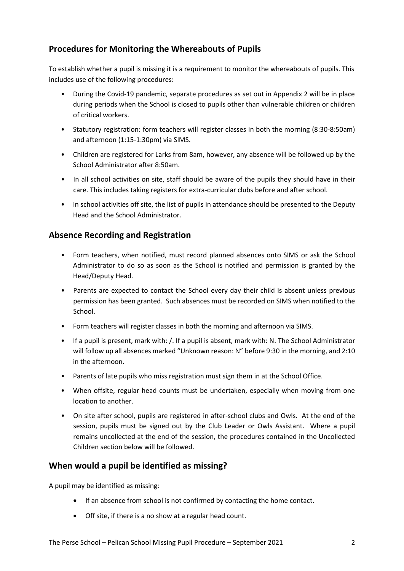## <span id="page-3-0"></span>**Procedures for Monitoring the Whereabouts of Pupils**

To establish whether a pupil is missing it is a requirement to monitor the whereabouts of pupils. This includes use of the following procedures:

- During the Covid-19 pandemic, separate procedures as set out in Appendix 2 will be in place during periods when the School is closed to pupils other than vulnerable children or children of critical workers.
- Statutory registration: form teachers will register classes in both the morning (8:30-8:50am) and afternoon (1:15-1:30pm) via SIMS.
- Children are registered for Larks from 8am, however, any absence will be followed up by the School Administrator after 8:50am.
- In all school activities on site, staff should be aware of the pupils they should have in their care. This includes taking registers for extra-curricular clubs before and after school.
- In school activities off site, the list of pupils in attendance should be presented to the Deputy Head and the School Administrator.

### <span id="page-3-1"></span>**Absence Recording and Registration**

- Form teachers, when notified, must record planned absences onto SIMS or ask the School Administrator to do so as soon as the School is notified and permission is granted by the Head/Deputy Head.
- Parents are expected to contact the School every day their child is absent unless previous permission has been granted. Such absences must be recorded on SIMS when notified to the School.
- Form teachers will register classes in both the morning and afternoon via SIMS.
- If a pupil is present, mark with: /. If a pupil is absent, mark with: N. The School Administrator will follow up all absences marked "Unknown reason: N" before 9:30 in the morning, and 2:10 in the afternoon.
- Parents of late pupils who miss registration must sign them in at the School Office.
- When offsite, regular head counts must be undertaken, especially when moving from one location to another.
- On site after school, pupils are registered in after-school clubs and Owls. At the end of the session, pupils must be signed out by the Club Leader or Owls Assistant. Where a pupil remains uncollected at the end of the session, the procedures contained in the Uncollected Children section below will be followed.

#### <span id="page-3-2"></span>**When would a pupil be identified as missing?**

A pupil may be identified as missing:

- If an absence from school is not confirmed by contacting the home contact.
- Off site, if there is a no show at a regular head count.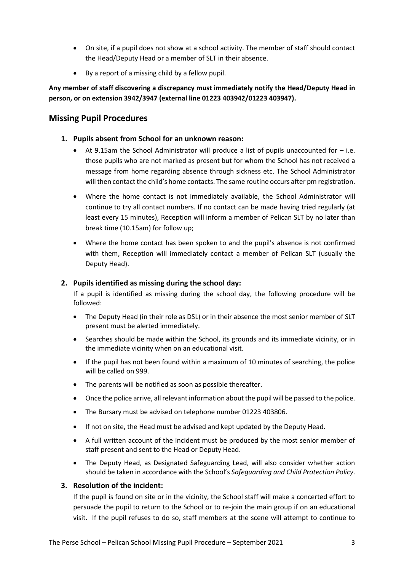- On site, if a pupil does not show at a school activity. The member of staff should contact the Head/Deputy Head or a member of SLT in their absence.
- By a report of a missing child by a fellow pupil.

**Any member of staff discovering a discrepancy must immediately notify the Head/Deputy Head in person, or on extension 3942/3947 (external line 01223 403942/01223 403947).**

#### <span id="page-4-0"></span>**Missing Pupil Procedures**

- <span id="page-4-1"></span>**1. Pupils absent from School for an unknown reason:**
	- At 9.15am the School Administrator will produce a list of pupils unaccounted for  $-$  i.e. those pupils who are not marked as present but for whom the School has not received a message from home regarding absence through sickness etc. The School Administrator will then contact the child's home contacts. The same routine occurs after pm registration.
	- Where the home contact is not immediately available, the School Administrator will continue to try all contact numbers. If no contact can be made having tried regularly (at least every 15 minutes), Reception will inform a member of Pelican SLT by no later than break time (10.15am) for follow up;
	- Where the home contact has been spoken to and the pupil's absence is not confirmed with them, Reception will immediately contact a member of Pelican SLT (usually the Deputy Head).

#### <span id="page-4-2"></span>**2. Pupils identified as missing during the school day:**

If a pupil is identified as missing during the school day, the following procedure will be followed:

- The Deputy Head (in their role as DSL) or in their absence the most senior member of SLT present must be alerted immediately.
- Searches should be made within the School, its grounds and its immediate vicinity, or in the immediate vicinity when on an educational visit.
- If the pupil has not been found within a maximum of 10 minutes of searching, the police will be called on 999.
- The parents will be notified as soon as possible thereafter.
- Once the police arrive, all relevant information about the pupil will be passed to the police.
- The Bursary must be advised on telephone number 01223 403806.
- If not on site, the Head must be advised and kept updated by the Deputy Head.
- A full written account of the incident must be produced by the most senior member of staff present and sent to the Head or Deputy Head.
- The Deputy Head, as Designated Safeguarding Lead, will also consider whether action should be taken in accordance with the School's *Safeguarding and Child Protection Policy*.

#### <span id="page-4-3"></span>**3. Resolution of the incident:**

If the pupil is found on site or in the vicinity, the School staff will make a concerted effort to persuade the pupil to return to the School or to re-join the main group if on an educational visit. If the pupil refuses to do so, staff members at the scene will attempt to continue to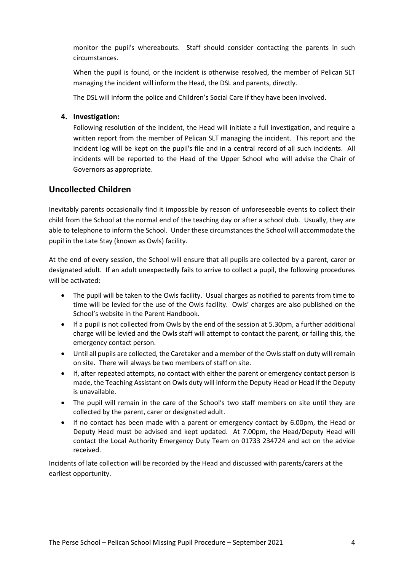monitor the pupil's whereabouts. Staff should consider contacting the parents in such circumstances.

When the pupil is found, or the incident is otherwise resolved, the member of Pelican SLT managing the incident will inform the Head, the DSL and parents, directly.

The DSL will inform the police and Children's Social Care if they have been involved.

#### <span id="page-5-0"></span>**4. Investigation:**

Following resolution of the incident, the Head will initiate a full investigation, and require a written report from the member of Pelican SLT managing the incident. This report and the incident log will be kept on the pupil's file and in a central record of all such incidents. All incidents will be reported to the Head of the Upper School who will advise the Chair of Governors as appropriate.

#### <span id="page-5-1"></span>**Uncollected Children**

Inevitably parents occasionally find it impossible by reason of unforeseeable events to collect their child from the School at the normal end of the teaching day or after a school club. Usually, they are able to telephone to inform the School. Under these circumstances the School will accommodate the pupil in the Late Stay (known as Owls) facility.

At the end of every session, the School will ensure that all pupils are collected by a parent, carer or designated adult. If an adult unexpectedly fails to arrive to collect a pupil, the following procedures will be activated:

- The pupil will be taken to the Owls facility. Usual charges as notified to parents from time to time will be levied for the use of the Owls facility. Owls' charges are also published on the School's website in the Parent Handbook.
- If a pupil is not collected from Owls by the end of the session at 5.30pm, a further additional charge will be levied and the Owls staff will attempt to contact the parent, or failing this, the emergency contact person.
- Until all pupils are collected, the Caretaker and a member of the Owls staff on duty will remain on site. There will always be two members of staff on site.
- If, after repeated attempts, no contact with either the parent or emergency contact person is made, the Teaching Assistant on Owls duty will inform the Deputy Head or Head if the Deputy is unavailable.
- The pupil will remain in the care of the School's two staff members on site until they are collected by the parent, carer or designated adult.
- If no contact has been made with a parent or emergency contact by 6.00pm, the Head or Deputy Head must be advised and kept updated. At 7.00pm, the Head/Deputy Head will contact the Local Authority Emergency Duty Team on 01733 234724 and act on the advice received.

Incidents of late collection will be recorded by the Head and discussed with parents/carers at the earliest opportunity.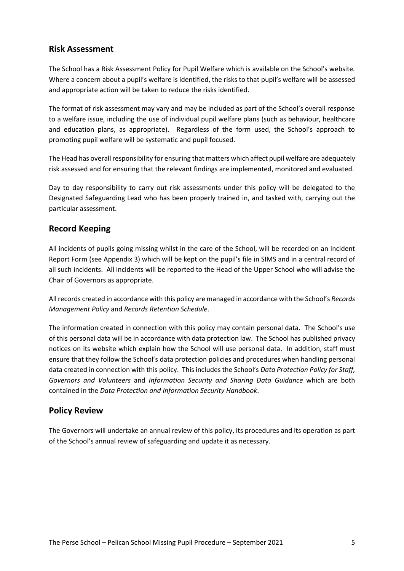#### <span id="page-6-0"></span>**Risk Assessment**

The School has a Risk Assessment Policy for Pupil Welfare which is available on the School's website. Where a concern about a pupil's welfare is identified, the risks to that pupil's welfare will be assessed and appropriate action will be taken to reduce the risks identified.

The format of risk assessment may vary and may be included as part of the School's overall response to a welfare issue, including the use of individual pupil welfare plans (such as behaviour, healthcare and education plans, as appropriate). Regardless of the form used, the School's approach to promoting pupil welfare will be systematic and pupil focused.

The Head has overall responsibility for ensuring that matters which affect pupil welfare are adequately risk assessed and for ensuring that the relevant findings are implemented, monitored and evaluated.

Day to day responsibility to carry out risk assessments under this policy will be delegated to the Designated Safeguarding Lead who has been properly trained in, and tasked with, carrying out the particular assessment.

### <span id="page-6-1"></span>**Record Keeping**

All incidents of pupils going missing whilst in the care of the School, will be recorded on an Incident Report Form (see Appendix 3) which will be kept on the pupil's file in SIMS and in a central record of all such incidents. All incidents will be reported to the Head of the Upper School who will advise the Chair of Governors as appropriate.

All records created in accordance with this policy are managed in accordance with the School's *Records Management Policy* and *Records Retention Schedule*.

The information created in connection with this policy may contain personal data. The School's use of this personal data will be in accordance with data protection law. The School has published privacy notices on its website which explain how the School will use personal data. In addition, staff must ensure that they follow the School's data protection policies and procedures when handling personal data created in connection with this policy. This includes the School's *Data Protection Policy for Staff, Governors and Volunteers* and *Information Security and Sharing Data Guidance* which are both contained in the *Data Protection and Information Security Handbook*.

#### <span id="page-6-2"></span>**Policy Review**

The Governors will undertake an annual review of this policy, its procedures and its operation as part of the School's annual review of safeguarding and update it as necessary.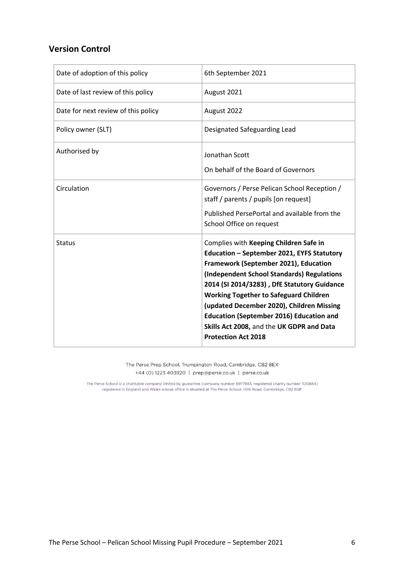#### <span id="page-7-0"></span>**Version Control**

| Date of adoption of this policy     | 6th September 2021                                                                                                                                                                                                                                                                                                                                                                                                                                     |
|-------------------------------------|--------------------------------------------------------------------------------------------------------------------------------------------------------------------------------------------------------------------------------------------------------------------------------------------------------------------------------------------------------------------------------------------------------------------------------------------------------|
| Date of last review of this policy  | August 2021                                                                                                                                                                                                                                                                                                                                                                                                                                            |
| Date for next review of this policy | August 2022                                                                                                                                                                                                                                                                                                                                                                                                                                            |
| Policy owner (SLT)                  | Designated Safeguarding Lead                                                                                                                                                                                                                                                                                                                                                                                                                           |
| Authorised by                       | Jonathan Scott<br>On behalf of the Board of Governors                                                                                                                                                                                                                                                                                                                                                                                                  |
| Circulation                         | Governors / Perse Pelican School Reception /<br>staff / parents / pupils [on request]<br>Published PersePortal and available from the<br>School Office on request                                                                                                                                                                                                                                                                                      |
| <b>Status</b>                       | Complies with Keeping Children Safe in<br>Education - September 2021, EYFS Statutory<br>Framework (September 2021), Education<br>(Independent School Standards) Regulations<br>2014 (SI 2014/3283), DfE Statutory Guidance<br><b>Working Together to Safeguard Children</b><br>(updated December 2020), Children Missing<br><b>Education (September 2016) Education and</b><br>Skills Act 2008, and the UK GDPR and Data<br><b>Protection Act 2018</b> |

The Perse Prep School, Trumpington Road, Cambridge, CB2 8EX +44 (0) 1223 403920 | prep@perse.co.uk | perse.co.uk

The Perse School is a charitable company limited by guarantee (company number 5977683, registered charity number 1120654) registered in England and Wales whose office is situated at The Perse School, Hills Road, Cambridge, CB2 8QF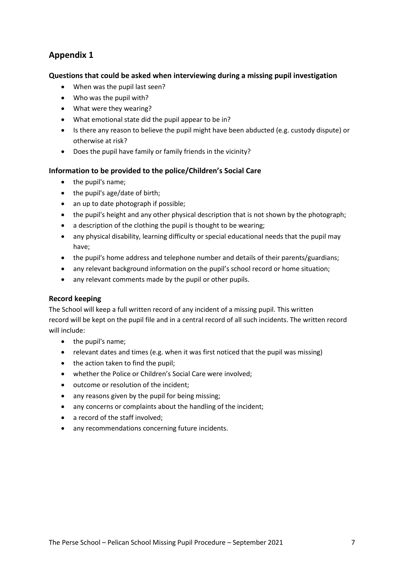## <span id="page-8-0"></span>**Appendix 1**

#### <span id="page-8-1"></span>**Questions that could be asked when interviewing during a missing pupil investigation**

- When was the pupil last seen?
- Who was the pupil with?
- What were they wearing?
- What emotional state did the pupil appear to be in?
- Is there any reason to believe the pupil might have been abducted (e.g. custody dispute) or otherwise at risk?
- Does the pupil have family or family friends in the vicinity?

#### <span id="page-8-2"></span>**Information to be provided to the police/Children's Social Care**

- the pupil's name;
- the pupil's age/date of birth;
- an up to date photograph if possible;
- the pupil's height and any other physical description that is not shown by the photograph;
- a description of the clothing the pupil is thought to be wearing;
- any physical disability, learning difficulty or special educational needs that the pupil may have;
- the pupil's home address and telephone number and details of their parents/guardians;
- any relevant background information on the pupil's school record or home situation;
- any relevant comments made by the pupil or other pupils.

#### <span id="page-8-3"></span>**Record keeping**

The School will keep a full written record of any incident of a missing pupil. This written record will be kept on the pupil file and in a central record of all such incidents. The written record will include:

- the pupil's name;
- relevant dates and times (e.g. when it was first noticed that the pupil was missing)
- the action taken to find the pupil;
- whether the Police or Children's Social Care were involved;
- outcome or resolution of the incident;
- any reasons given by the pupil for being missing;
- any concerns or complaints about the handling of the incident;
- a record of the staff involved;
- any recommendations concerning future incidents.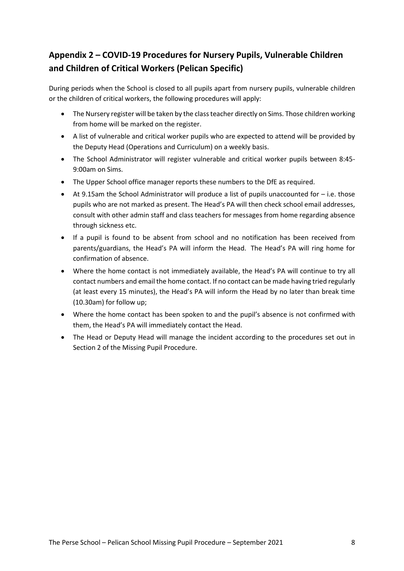## <span id="page-9-0"></span>**Appendix 2 – COVID-19 Procedures for Nursery Pupils, Vulnerable Children and Children of Critical Workers (Pelican Specific)**

During periods when the School is closed to all pupils apart from nursery pupils, vulnerable children or the children of critical workers, the following procedures will apply:

- The Nursery register will be taken by the class teacher directly on Sims. Those children working from home will be marked on the register.
- A list of vulnerable and critical worker pupils who are expected to attend will be provided by the Deputy Head (Operations and Curriculum) on a weekly basis.
- The School Administrator will register vulnerable and critical worker pupils between 8:45- 9:00am on Sims.
- The Upper School office manager reports these numbers to the DfE as required.
- At 9.15am the School Administrator will produce a list of pupils unaccounted for i.e. those pupils who are not marked as present. The Head's PA will then check school email addresses, consult with other admin staff and class teachers for messages from home regarding absence through sickness etc.
- If a pupil is found to be absent from school and no notification has been received from parents/guardians, the Head's PA will inform the Head. The Head's PA will ring home for confirmation of absence.
- Where the home contact is not immediately available, the Head's PA will continue to try all contact numbers and email the home contact. If no contact can be made having tried regularly (at least every 15 minutes), the Head's PA will inform the Head by no later than break time (10.30am) for follow up;
- Where the home contact has been spoken to and the pupil's absence is not confirmed with them, the Head's PA will immediately contact the Head.
- The Head or Deputy Head will manage the incident according to the procedures set out in Section 2 of the Missing Pupil Procedure.